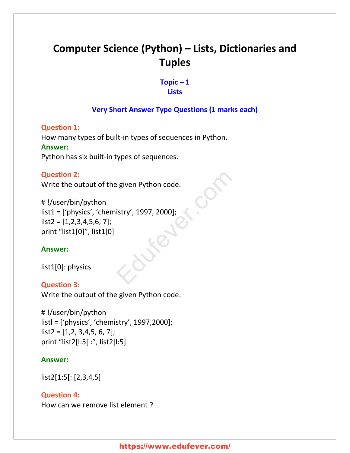# **Computer Science (Python) – Lists, Dictionaries and Tuples**

#### **Topic – 1 Lists**

# **Very Short Answer Type Questions (1 marks each)**

**Question 1:** How many types of built-in types of sequences in Python. **Answer:** Python has six built-in types of sequences.

#### **Question 2:**

Write the output of the given Python code.

# !/user/bin/python list1 = ['physics', 'chemistry', 1997, 2000];  $list2 = [1,2,3,4,5,6,7]$ ; print "list1[0]", list1[0] Education Code.

#### **Answer:**

list1[0]: physics

#### **Question 3:**

Write the output of the given Python code.

# !/user/bin/python listl = ['physics', 'chemistry', 1997,2000];  $list2 = [1,2, 3,4,5, 6, 7];$ print "list2[l:5[ :", list2[l:5]

#### **Answer:**

list2[1:5[: [2,3,4,5]

**Question 4:** How can we remove list element ?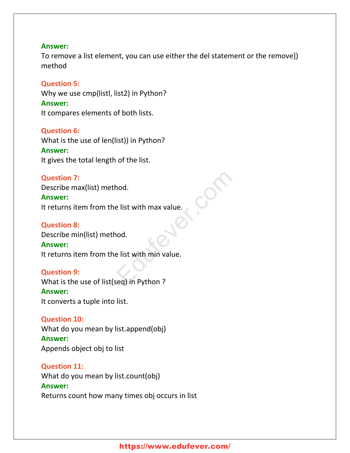#### **Answer:**

To remove a list element, you can use either the del statement or the remove]) method

#### **Question 5:**

Why we use cmp(listl, list2) in Python? **Answer:** It compares elements of both lists.

#### **Question 6:**

What is the use of len(list)) in Python?

#### **Answer:**

It gives the total length of the list.

#### **Question 7:**

Describe max(list) method.

# **Answer:**

It returns item from the list with max value.

#### **Question 8:**

Describe min(list) method.

#### **Answer:**

It returns item from the list with min value. Partial<br>
Explorering the United States of Contractors and Contractors and Contractors and Contractors and Contractors<br>
Education Puthon Property and Contractors and Contractors and Contractors and Contractors and Contracto

#### **Question 9:**

What is the use of list(seq) in Python ?

#### **Answer:**

It converts a tuple into list.

#### **Question 10:**

What do you mean by list.append(obj) **Answer:**

Appends object obj to list

#### **Question 11:**

What do you mean by list.count(obj) **Answer:** Returns count how many times obj occurs in list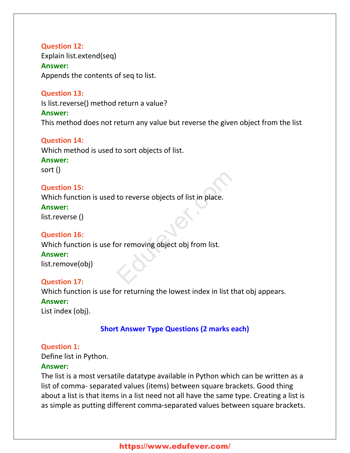# **Question 12:** Explain list.extend(seq) **Answer:** Appends the contents of seq to list.

**Question 13:**

Is list.reverse() method return a value?

#### **Answer:**

This method does not return any value but reverse the given object from the list

# **Question 14:**

Which method is used to sort objects of list.

# **Answer:**

sort ()

# **Question 15:**

Which function is used to reverse objects of list in place. to reverse objects of list in place.<br>
or removing object obj from list.

#### **Answer:**

list.reverse ()

# **Question 16:**

Which function is use for removing object obj from list.

#### **Answer:**

list.remove(obj)

#### **Question 17:**

Which function is use for returning the lowest index in list that obj appears.

#### **Answer:**

List index (obj).

# **Short Answer Type Questions (2 marks each)**

#### **Question 1:**

Define list in Python.

#### **Answer:**

The list is a most versatile datatype available in Python which can be written as a list of comma- separated values (items) between square brackets. Good thing about a list is that items in a list need not all have the same type. Creating a list is as simple as putting different comma-separated values between square brackets.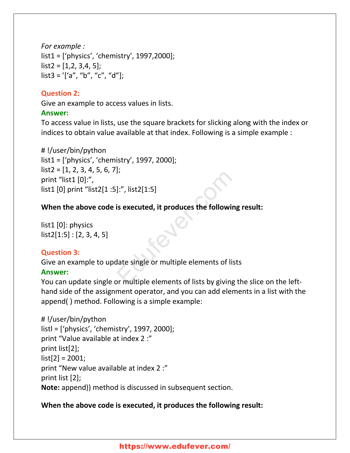*For example :* list1 = ['physics', 'chemistry', 1997,2000];  $list2 = [1,2, 3,4, 5]$ ;  $list3 = '['a'', 'b'', 'c'', 'd''];$ 

#### **Question 2:**

Give an example to access values in lists.

#### **Answer:**

To access value in lists, use the square brackets for slicking along with the index or indices to obtain value available at that index. Following is a simple example :

# !/user/bin/python list1 = ['physics', 'chemistry', 1997, 2000];  $list2 = [1, 2, 3, 4, 5, 6, 7]$ ; print "list1 [0]:", list1 [0] print "list2[1 :5]:", list2[1:5] |:", list2[1:5]<br>|is executed, it produces the following<br>|<br>|date single or multiple elements of lists<br>|pr multiple elements of lists by giving t

# **When the above code is executed, it produces the following result:**

list1 [0]: physics  $list2[1:5] : [2, 3, 4, 5]$ 

# **Question 3:**

Give an example to update single or multiple elements of lists

# **Answer:**

You can update single or multiple elements of lists by giving the slice on the lefthand side of the assignment operator, and you can add elements in a list with the append( ) method. Following is a simple example:

```
# !/user/bin/python
listl = ['physics', 'chemistry', 1997, 2000];
print "Value available at index 2 :"
print list[2];
list[2] = 2001;print "New value available at index 2 :"
print list [2];
Note: append)) method is discussed in subsequent section.
```
# **When the above code is executed, it produces the following result:**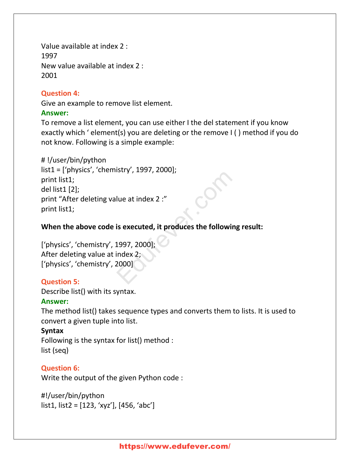Value available at index 2 : 1997 New value available at index 2 : 2001

#### **Question 4:**

Give an example to remove list element.

#### **Answer:**

To remove a list element, you can use either I the del statement if you know exactly which ' element(s) you are deleting or the remove I ( ) method if you do not know. Following is a simple example:

# !/user/bin/python list1 = ['physics', 'chemistry', 1997, 2000]; print list1; del list1 [2]; print "After deleting value at index 2 :" print list1; Sulfamilient of the state of the section of the following<br>
is executed, it produces the following<br>
1997, 2000];<br>
index 2;<br>
2000]

# **When the above code is executed, it produces the following result:**

['physics', 'chemistry', 1997, 2000]; After deleting value at index 2; ['physics', 'chemistry', 2000]

# **Question 5:**

Describe list() with its syntax.

# **Answer:**

The method list() takes sequence types and converts them to lists. It is used to convert a given tuple into list.

# **Syntax**

Following is the syntax for list() method : list (seq)

# **Question 6:**

Write the output of the given Python code :

#!/user/bin/python list1, list2 = [123, 'xyz'], [456, 'abc']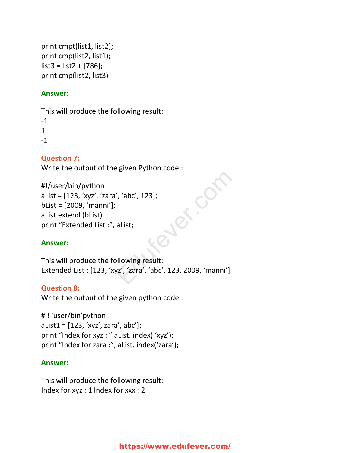```
print cmpt(list1, list2);
print cmp(list2, list1);
list3 = list2 + [786];
print cmp(list2, list3)
```
# **Answer:**

This will produce the following result:

-1 1 -1

# **Question 7:**

Write the output of the given Python code :

```
#!/user/bin/python
aList = [123, 'xyz', 'zara', 'abc', 123];
bList = [2009, 'manni'];
aList.extend (bList)
print "Extended List :", aList;
```
# **Answer:**

This will produce the following result: Extended List : [123, 'xyz', 'zara', 'abc', 123, 2009, 'manni']

#### **Question 8:**

Write the output of the given python code :

# ! 'user/bin'pvthon  $alist1 = [123, 'xvz', zara', abc'];$ print "Index for xyz : " aList. index) 'xyz'); print "Index for zara :", aList. index('zara');

#### **Answer:**

This will produce the following result: Index for xyz : 1 Index for xxx : 2

Ed. Co.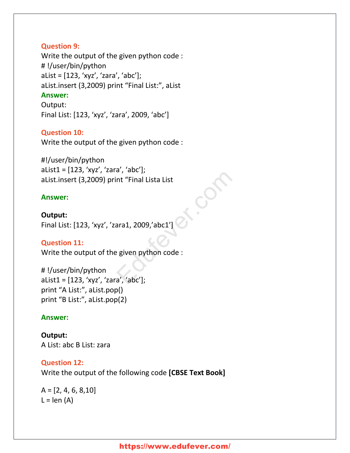#### **Question 9:**

Write the output of the given python code : # !/user/bin/python aList = [123, 'xyz', 'zara', 'abc']; aList.insert (3,2009) print "Final List:", aList **Answer:** Output: Final List: [123, 'xyz', 'zara', 2009, 'abc']

#### **Question 10:**

Write the output of the given python code :

#!/user/bin/python aList1 = [123, 'xyz', 'zara', 'abc']; aList.insert (3,2009) print "Final Lista List

#### **Answer:**

**Output:** Final List: [123, 'xyz', 'zara1, 2009,'abc1'] nt "Final Lista List<br>ara1, 2009,'abc1']<br>egiven python code :<br>a', 'abc'];

#### **Question 11:**

Write the output of the given python code :

# !/user/bin/python aList1 = [123, 'xyz', 'zara', 'abc']; print "A List:", aList.pop() print "B List:", aList.pop(2)

#### **Answer:**

**Output:** A List: abc B List: zara

#### **Question 12:**

Write the output of the following code **[CBSE Text Book]**

 $A = [2, 4, 6, 8, 10]$  $L = len (A)$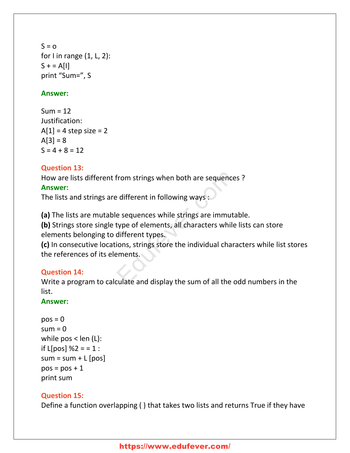$S = 0$ for I in range  $(1, L, 2)$ :  $S + = A[1]$ print "Sum=", S

#### **Answer:**

 $Sum = 12$ Justification:  $A[1] = 4$  step size = 2  $A[3] = 8$  $S = 4 + 8 = 12$ 

# **Question 13:**

How are lists different from strings when both are sequences ?

#### **Answer:**

The lists and strings are different in following ways :

**(a)** The lists are mutable sequences while strings are immutable.

**(b)** Strings store single type of elements, all characters while lists can store elements belonging to different types.

**(c)** In consecutive locations, strings store the individual characters while list stores the references of its elements. From strings when both are sequences<br>
Exercise the different in following ways<br>
Exercise esequences while strings are immutat<br>
type of elements, all characters while I<br>
different types.<br>
Elements.<br>
Elements.<br>
Elements.

# **Question 14:**

Write a program to calculate and display the sum of all the odd numbers in the list.

#### **Answer:**

```
pos = 0sum = 0while pos < len (L):
if L[pos] %2 = = 1 :
sum = sum + L [pos]pos = pos + 1print sum
```
# **Question 15:**

Define a function overlapping ( ) that takes two lists and returns True if they have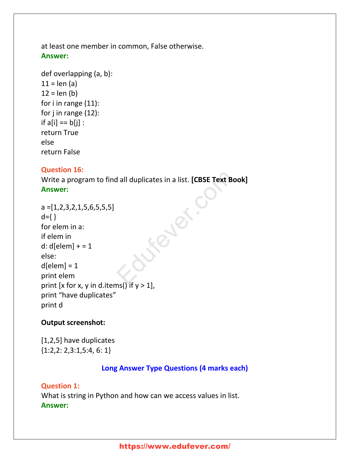at least one member in common, False otherwise. **Answer:**

```
def overlapping (a, b):
11 = len(a)12 = len (b)for i in range (11):
for j in range (12):
if a[i] == b[i]:
return True
else
return False
```
#### **Question 16:**

Write a program to find all duplicates in a list. **[CBSE Text Book] Answer:**

```
a = [1, 2, 3, 2, 1, 5, 6, 5, 5, 5]d = \{\}for elem in a:
if elem in
d: d[elem] += 1else:
d[elem] = 1print elem
print [x for x, y in d.items() if y > 1],
print "have duplicates"
print d
                               Fever.cf
```
#### **Output screenshot:**

[1,2,5] have duplicates {1:2,2: 2,3:1,5:4, 6: 1}

#### **Long Answer Type Questions (4 marks each)**

#### **Question 1:**

What is string in Python and how can we access values in list. **Answer:**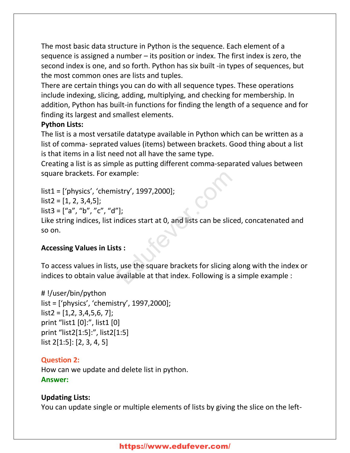The most basic data structure in Python is the sequence. Each element of a sequence is assigned a number – its position or index. The first index is zero, the second index is one, and so forth. Python has six built -in types of sequences, but the most common ones are lists and tuples.

There are certain things you can do with all sequence types. These operations include indexing, slicing, adding, multiplying, and checking for membership. In addition, Python has built-in functions for finding the length of a sequence and for finding its largest and smallest elements.

# **Python Lists:**

The list is a most versatile datatype available in Python which can be written as a list of comma- seprated values (items) between brackets. Good thing about a list is that items in a list need not all have the same type.

Creating a list is as simple as putting different comma-separated values between square brackets. For example:

list1 = ['physics', 'chemistry', 1997,2000];

 $list2 = [1, 2, 3, 4, 5]$ ;

 $list3 = ['a'', 'b'', 'c'', 'd'']$ ;

Like string indices, list indices start at 0, and lists can be sliced, concatenated and so on. ample:<br>
istry', 1997,2000];<br>
"];<br>
ndices start at 0, and lists can be sliced<br>
ts :<br>
, use the square brackets for slicing ald<br>
available at that index. Following is a s

#### **Accessing Values in Lists :**

To access values in lists, use the square brackets for slicing along with the index or indices to obtain value available at that index. Following is a simple example :

# !/user/bin/python list = ['physics', 'chemistry', 1997,2000];  $list2 = [1,2, 3,4,5,6, 7]$ ; print "list1 [0]:", list1 [0] print "list2[1:5]:", list2[1:5] list 2[1:5]: [2, 3, 4, 5]

# **Question 2:**

How can we update and delete list in python. **Answer:**

# **Updating Lists:**

You can update single or multiple elements of lists by giving the slice on the left-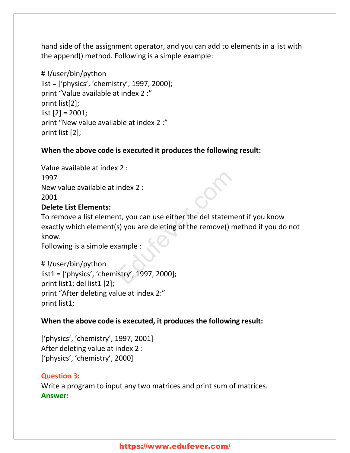hand side of the assignment operator, and you can add to elements in a list with the append() method. Following is a simple example:

# !/user/bin/python list = ['physics', 'chemistry', 1997, 2000]; print "Value available at index 2 :" print list[2]; list [2] = 2001; print "New value available at index 2 :" print list [2];

# **When the above code is executed it produces the following result:**

Value available at index 2 : 1997 New value available at index 2 : 2001

# **Delete List Elements:**

To remove a list element, you can use either the del statement if you know exactly which element(s) you are deleting of the remove() method if you do not know. index 2 :<br>nt, you can use either the del statemer<br>s) you are deleting of the remove() me<br>cample :<br>istry', 1997, 2000];

Following is a simple example :

# !/user/bin/python list1 = ['physics', 'chemistry', 1997, 2000]; print list1; del list1 [2]; print "After deleting value at index 2:" print list1;

#### **When the above code is executed, it produces the following result:**

['physics', 'chemistry', 1997, 2001] After deleting value at index 2 : ['physics', 'chemistry', 2000]

#### **Question 3:**

Write a program to input any two matrices and print sum of matrices. **Answer:**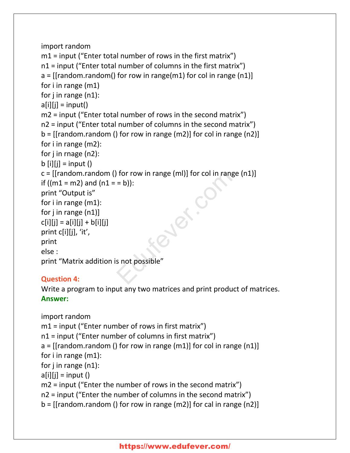```
import random
m1 = input ("Enter total number of rows in the first matrix")
n1 = input ("Enter total number of columns in the first matrix")
a = \left[ \left[ \text{random.random} \right] \right] for row in range\left[ \text{m1} \right] for col in range \left[ \text{m1} \right]for i in range (m1)
for j in range (n1):
a[i][i] = input()m2 = input ("Enter total number of rows in the second matrix")
n2 = input ("Enter total number of columns in the second matrix")
b = [[random.random() for row in range(m2)] for col in range(n2)]for i in range (m2):
for j in rnage (n2):
b [i][i] = input ()
c = \left[ \left[ \text{random.random} \right] \right] for row in range (ml) for col in range (n1)
if ((m1 = m2) and (n1 = = b)):
print "Output is"
for i in range (m1):
for j in range (n1)]
c[i][j] = a[i][j] + b[i][j]print c[i][j], 'it',
print
else :
print "Matrix addition is not possible"
                                 of the row in range (ml)] for col in range<br>= b)):<br>Solid provide the results of the processible the results of the processible the results of the results of the results of the results of the results of the results of the re
```
# **Question 4:**

Write a program to input any two matrices and print product of matrices. **Answer:**

```
import random
m1 = input ("Enter number of rows in first matrix")
n1 = input ("Enter number of columns in first matrix")
a = [[random.random() for row in range(m1)] for col in range(n1)]for i in range (m1):
for j in range (n1):
a[i][j] = input()m2 = input ("Enter the number of rows in the second matrix")
n2 = input ("Enter the number of columns in the second matrix")
b = [[random.random() for row in range(m2)] for cal in range(n2)]
```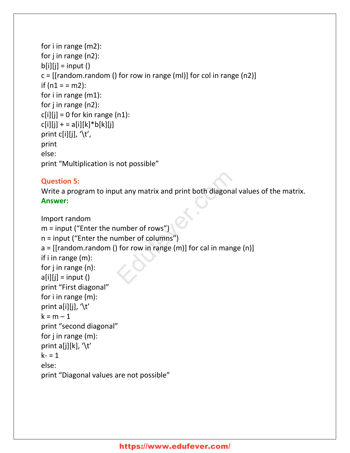```
for i in range (m2):
for j in range (n2):
b[i][i] = input ()
c = \left[ \left[ \text{random.random} \right] \right] for row in range (ml) for col in range (n2)
if (n1 = m2):
for i in range (m1):
for j in range (n2):
c[i][j] = 0 for kin range (n1):
c[i][j] + = a[i][k]*b[k][j]print c[i][j], \forall t',
print
else:
print "Multiplication is not possible"
```
# **Question 5:**

Write a program to input any matrix and print both diagonal values of the matrix. **Answer:**

```
Import random
m = input ("Enter the number of rows")
n = input ("Enter the number of columns")
a = [[random.random() for row in range (m)] for call in mange (n)]if i in range (m):
for j in range (n):
a[i][j] = input()print "First diagonal"
for i in range (m):
print a[i][j], \forallt'
k = m - 1print "second diagonal"
for j in range (m):
print a[j][k], \langle t' \ranglek - 1else:
print "Diagonal values are not possible"
                              ut any matrix and print both diagonal v<br>
umber of rows")<br>
umber of columns")<br>
of row in range (m)] for cal in mange
```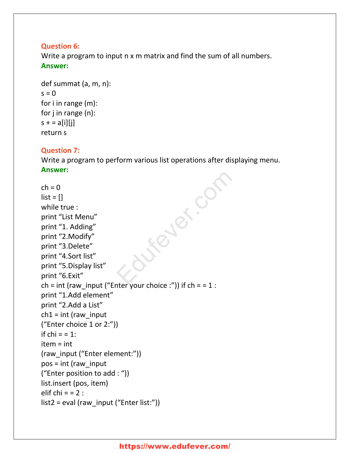# **Question 6:**

Write a program to input n x m matrix and find the sum of all numbers. **Answer:**

```
def summat (a, m, n):
s = 0for i in range (m):
for j in range (n):
s + = a[i][i]return s
```
#### **Question 7:**

Write a program to perform various list operations after displaying menu. **Answer:**

 $ch = 0$  $list = []$ while true : print "List Menu" print "1. Adding" print "2.Modify" print "3.Delete" print "4.Sort list" print "5.Display list" print "6.Exit" ch = int (raw\_input ("Enter your choice :")) if  $ch = 1$  : print "1.Add element" print "2.Add a List"  $ch1 = int$  (raw input ("Enter choice 1 or 2:")) if  $chi = 1$ : item = int (raw\_input ("Enter element:")) pos = int (raw\_input ("Enter position to add : ")) list.insert (pos, item) elif chi  $= 2$  : list2 = eval (raw\_input ("Enter list:")) Fever.com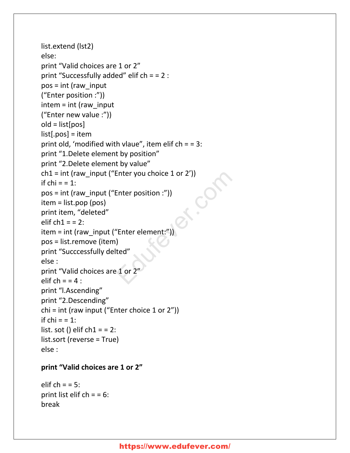```
list.extend (lst2)
else:
print "Valid choices are 1 or 2"
print "Successfully added" elif ch = = 2 :
pos = int (raw_input
("Enter position :"))
inter = int (raw input
("Enter new value :"))
old = list[pos]
list[.pos] = item
print old, 'modified with vlaue", item elif ch = 3:
print "1.Delete element by position"
print "2.Delete element by value"
ch1 = int (raw input ("Enter you choice 1 or 2'))
if chi = 1:
pos = int (raw_input ("Enter position :"))
item = list.pop (pos)
print item, "deleted"
elif ch1 = 2:
item = int (raw_input ("Enter element:"))
pos = list.remove (item)
print "Succcessfully delted"
else :
print "Valid choices are 1 or 2"
elif ch = 4 :
print "l.Ascending"
print "2.Descending"
chi = int (raw input ("Enter choice 1 or 2"))
if chi = 1:
list. sot () elif ch1 = 2:
list.sort (reverse = True)
else :
                          Enter you choice 1 or 2'))<br>
Enter position :"))<br>
"Enter element:"))<br>
)<br>
ted"<br>
1 or 2"
```
#### **print "Valid choices are 1 or 2"**

elif  $ch = 5$ : print list elif  $ch = 6$ : break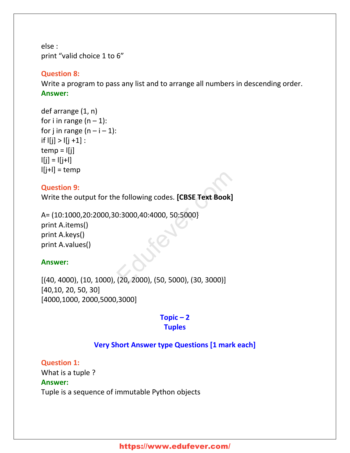else : print "valid choice 1 to 6"

#### **Question 8:**

Write a program to pass any list and to arrange all numbers in descending order. **Answer:**

def arrange (1, n) for i in range  $(n - 1)$ : for j in range  $(n - i - 1)$ : if  $|[j] > |[j + 1]$ :  $temp = |[j]$  $|j| = |j+1|$  $I[j+1] = temp$ 

#### **Question 9:**

Write the output for the following codes. **[CBSE Text Book]**

A= (10:1000,20:2000,30:3000,40:4000, 50:5000} print A.items() print A.keys() print A.values() e following codes. [CBSE Text Book]<br>0:3000,40:4000, 50:5000}<br>(20, 2000), (50, 5000), (30, 3000)]

#### **Answer:**

[(40, 4000), (10, 1000), (20, 2000), (50, 5000), (30, 3000)] [40,10, 20, 50, 30] [4000,1000, 2000,5000,3000]

# **Topic – 2 Tuples**

#### **Very Short Answer type Questions [1 mark each]**

**Question 1:** What is a tuple ? **Answer:** Tuple is a sequence of immutable Python objects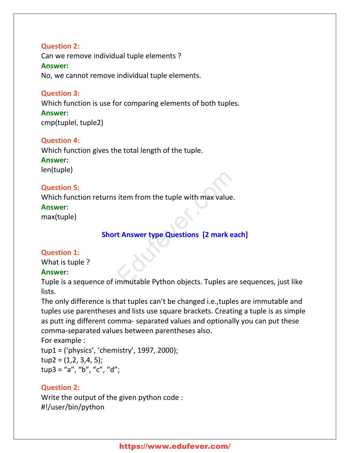**Question 2:** Can we remove individual tuple elements ? **Answer:** No, we cannot remove individual tuple elements.

#### **Question 3:**

Which function is use for comparing elements of both tuples.

**Answer:** cmp(tuplel, tuple2)

#### **Question 4:**

Which function gives the total length of the tuple. **Answer:** len(tuple)

#### **Question 5:**

Which function returns item from the tuple with max value.

#### **Answer:**

max(tuple)

# **Short Answer type Questions [2 mark each]** I item from the tuple with max value.<br> **Example 21 St Answer type Questions [2 mark eadled Figure 21**<br>
Example 21 St Answer type Questions [2 mark eadled Figure 21<br>
Example 21 St Answer type Questions [2 mark eadled Figure

#### **Question 1:**

What is tuple ?

#### **Answer:**

Tuple is a sequence of immutable Python objects. Tuples are sequences, just like lists.

The only difference is that tuples can't be changed i.e.,tuples are immutable and tuples use parentheses and lists use square brackets. Creating a tuple is as simple as putt ing different comma- separated values and optionally you can put these comma-separated values between parentheses also.

For example : tup1 = ('physics', 'chemistry', 1997, 2000);  $tup2 = (1,2, 3,4, 5);$ tup3 = "a", "b", "c", "d";

#### **Question 2:**

Write the output of the given python code : #!/user/bin/python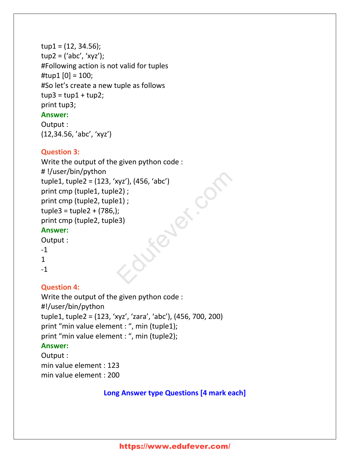```
tup1 = (12, 34.56);tup2 = ('abc', 'xyz');
#Following action is not valid for tuples
#tup1[0] = 100;
#So let's create a new tuple as follows
tup3 = tup1 + tup2;print tup3;
```
#### **Answer:**

Output : (12,34.56, 'abc', 'xyz')

# **Question 3:**

Write the output of the given python code : # !/user/bin/python tuple1, tuple2 = (123, 'xyz'), (456, 'abc') print cmp (tuple1, tuple2) ; print cmp (tuple2, tuple1) ;  $tuple3 = tuple2 + (786,);$ print cmp (tuple2, tuple3) **Answer:** Sieler.co

Output :

- -1
- 1

-1

# **Question 4:**

Write the output of the given python code : #!/user/bin/python tuple1, tuple2 = (123, 'xyz', 'zara', 'abc'), (456, 700, 200) print "min value element : ", min (tuple1); print "min value element : ", min (tuple2); **Answer:**

Output : min value element : 123 min value element : 200

# **Long Answer type Questions [4 mark each]**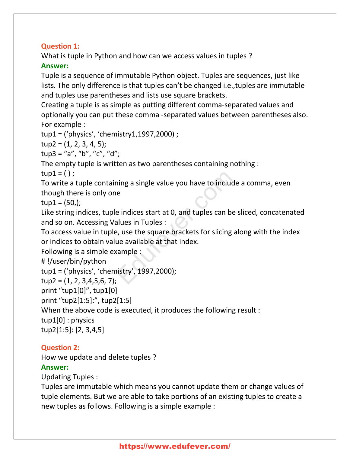# **Question 1:**

What is tuple in Python and how can we access values in tuples ? **Answer:**

Tuple is a sequence of immutable Python object. Tuples are sequences, just like lists. The only difference is that tuples can't be changed i.e.,tuples are immutable and tuples use parentheses and lists use square brackets.

Creating a tuple is as simple as putting different comma-separated values and optionally you can put these comma -separated values between parentheses also. For example :

tup1 = ('physics', 'chemistry1,1997,2000) ;

 $tup2 = (1, 2, 3, 4, 5);$ 

tup3 = "a", "b", "c", "d";

The empty tuple is written as two parentheses containing nothing :

 $tup1 = ()$ ;

To write a tuple containing a single value you have to include a comma, even though there is only one

 $tup1 = (50)$ ;

Like string indices, tuple indices start at 0, and tuples can be sliced, concatenated and so on. Accessing Values in Tuples :

To access value in tuple, use the square brackets for slicing along with the index or indices to obtain value available at that index. Thing a single value you have to include<br>
E<br>
e indices start at 0, and tuples can be s<br>
alues in Tuples :<br>
P, use the square brackets for slicing alue<br>
available at that index.<br>
Rample :<br>
Rample :<br>
Rample :

Following is a simple example :

```
# !/user/bin/python
```

```
tup1 = ('physics', 'chemistry', 1997,2000);
```
 $tup2 = (1, 2, 3, 4, 5, 6, 7);$ 

print "tup1[0]", tup1[0]

print "tup2[1:5]:", tup2[1:5]

When the above code is executed, it produces the following result :

tup1[0] : physics

```
tup2[1:5]: [2, 3,4,5]
```
#### **Question 2:**

How we update and delete tuples ?

#### **Answer:**

Updating Tuples :

Tuples are immutable which means you cannot update them or change values of tuple elements. But we are able to take portions of an existing tuples to create a new tuples as follows. Following is a simple example :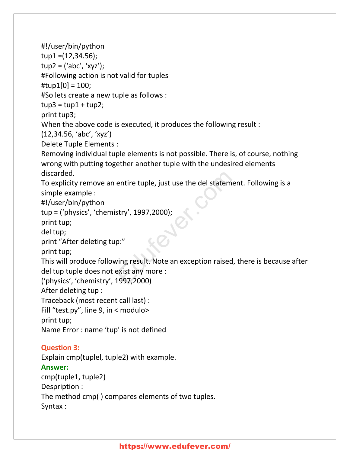#!/user/bin/python tup1 =(12,34.56);  $tup2 = ('abc', 'xyz')$ ; #Following action is not valid for tuples  $\text{Itup1}[0] = 100;$ #So lets create a new tuple as follows :  $tup3 = tup1 + tup2;$ print tup3; When the above code is executed, it produces the following result : (12,34.56, 'abc', 'xyz') Delete Tuple Elements : Removing individual tuple elements is not possible. There is, of course, nothing wrong with putting together another tuple with the undesired elements discarded. To explicity remove an entire tuple, just use the del statement. Following is a simple example : #!/user/bin/python tup = ('physics', 'chemistry', 1997,2000); print tup; del tup; print "After deleting tup:" print tup; This will produce following result. Note an exception raised, there is because after del tup tuple does not exist any more : ('physics', 'chemistry', 1997,2000) After deleting tup : Traceback (most recent call last) : Fill "test.py", line 9, in < modulo> print tup; Name Error : name 'tup' is not defined **Question 3:** Explain cmp(tuplel, tuple2) with example. **Answer:** cmp(tuple1, tuple2) Despription : The method cmp( ) compares elements of two tuples. Syntax : entire tuple, just use the del statemen<br>stry', 1997,2000);<br>p:"<br>ving result. Note an exception raised, t<br>exist any more :<br>1997,2000)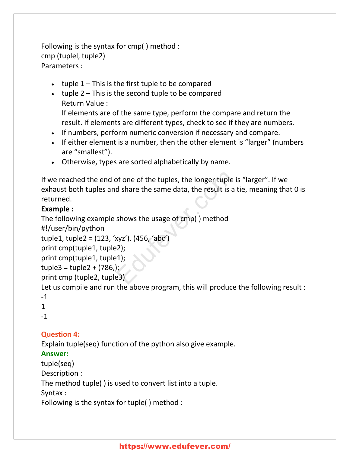Following is the syntax for cmp( ) method : cmp (tuplel, tuple2) Parameters :

- ulterpoonuple 1 This is the first tuple to be compared
- uple 2 This is the second tuple to be compared Return Value :

If elements are of the same type, perform the compare and return the result. If elements are different types, check to see if they are numbers.

- If numbers, perform numeric conversion if necessary and compare.
- If either element is a number, then the other element is "larger" (numbers are "smallest").
- Otherwise, types are sorted alphabetically by name.

If we reached the end of one of the tuples, the longer tuple is "larger". If we exhaust both tuples and share the same data, the result is a tie, meaning that 0 is returned. of one of the tuples, the longer tuple is<br>d share the same data, the result is a ti<br>shows the usage of cmp() method<br>xyz'), (456, 'abc')<br>(2);<br>(2);<br>(3);<br>(3)

#### **Example :**

The following example shows the usage of cmp( ) method

#!/user/bin/python

```
tuple1, tuple2 = (123, 'xyz'), (456, 'abc')
```

```
print cmp(tuple1, tuple2);
```

```
print cmp(tuple1, tuple1);
```

```
tuple3 = tuple2 + (786);
```

```
print cmp (tuple2, tuple3)
```
Let us compile and run the above program, this will produce the following result :

```
-1
```

```
1
```
-1

# **Question 4:**

Explain tuple(seq) function of the python also give example.

# **Answer:**

tuple(seq)

Description :

The method tuple( ) is used to convert list into a tuple.

Syntax :

Following is the syntax for tuple( ) method :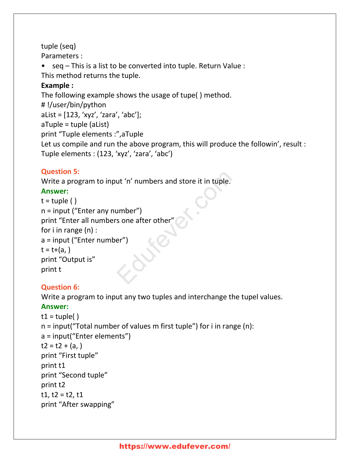# tuple (seq)

Parameters :

• seq – This is a list to be converted into tuple. Return Value :

This method returns the tuple.

# **Example :**

The following example shows the usage of tupe( ) method. # !/user/bin/python aList = [123, 'xyz', 'zara', 'abc']; aTuple = tuple (aList) print "Tuple elements :",aTuple Let us compile and run the above program, this will produce the followin', result : Tuple elements : (123, 'xyz', 'zara', 'abc')

# **Question 5:**

Write a program to input 'n' numbers and store it in tuple.

# **Answer:**

```
t = \text{tuple}()n = input ("Enter any number")
print "Enter all numbers one after other"
for i in range (n) :
a = input ("Enter number")
t = t + (a, )print "Output is"
print t
                         ut 'n' numbers and store it in tuple.
```
# **Question 6:**

Write a program to input any two tuples and interchange the tupel values.

# **Answer:**

```
t1 = \text{tuple}()n = input("Total number of values m first tuple") for i in range (n):
a = input("Enter elements")
t2 = t2 + (a, )print "First tuple"
print t1
print "Second tuple"
print t2
t1, t2 = t2, t1print "After swapping"
```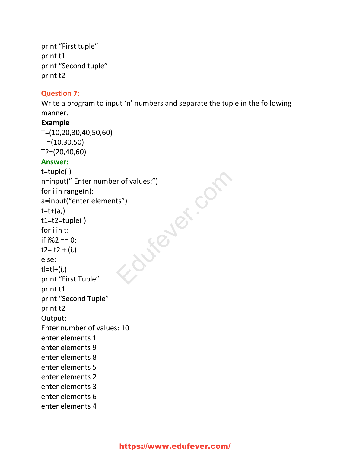print "First tuple" print t1 print "Second tuple" print t2

#### **Question 7:**

Write a program to input 'n' numbers and separate the tuple in the following manner.

#### **Example**

T=(10,20,30,40,50,60) Tl=(10,30,50) T2=(20,40,60)

#### **Answer:**

t=tuple( ) n=input(" Enter number of values:") for i in range(n): a=input("enter elements")  $t=t+(a)$ t1=t2=tuple( ) for i in t: if i%2 == 0:  $t2 = t2 + (i)$ else:  $t=tl+(i)$ print "First Tuple" print t1 print "Second Tuple" print t2 Output: Enter number of values: 10 enter elements 1 enter elements 9 enter elements 8 enter elements 5 enter elements 2 enter elements 3 enter elements 6 enter elements 4 Engelands.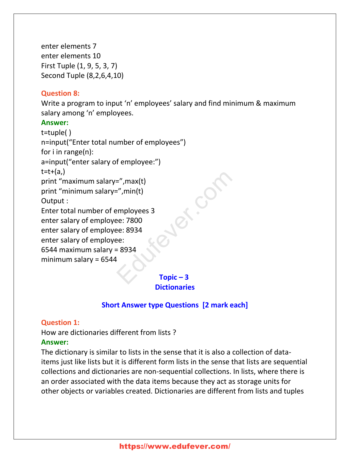enter elements 7 enter elements 10 First Tuple (1, 9, 5, 3, 7) Second Tuple (8,2,6,4,10)

#### **Question 8:**

Write a program to input 'n' employees' salary and find minimum & maximum salary among 'n' employees.

#### **Answer:**

t=tuple( ) n=input("Enter total number of employees") for i in range(n): a=input("enter salary of employee:")  $t=t+(a)$ print "maximum salary=",max(t) print "minimum salary=",min(t) Output : Enter total number of employees 3 enter salary of employee: 7800 enter salary of employee: 8934 enter salary of employee: 6544 maximum salary = 8934 minimum salary = 6544 =",max(t)<br>
=",min(t)<br>
employees 3<br>
ee: 7800<br>
ee: 8934<br>
ee:<br>
Fopic – 3

**Topic – 3 Dictionaries**

#### **Short Answer type Questions [2 mark each]**

#### **Question 1:**

How are dictionaries different from lists ?

#### **Answer:**

The dictionary is similar to lists in the sense that it is also a collection of dataitems just like lists but it is different form lists in the sense that lists are sequential collections and dictionaries are non-sequential collections. In lists, where there is an order associated with the data items because they act as storage units for other objects or variables created. Dictionaries are different from lists and tuples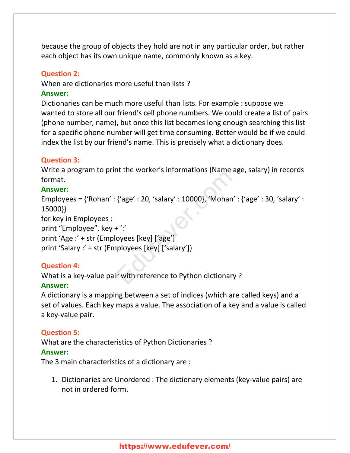because the group of objects they hold are not in any particular order, but rather each object has its own unique name, commonly known as a key.

#### **Question 2:**

When are dictionaries more useful than lists ?

#### **Answer:**

Dictionaries can be much more useful than lists. For example : suppose we wanted to store all our friend's cell phone numbers. We could create a list of pairs (phone number, name), but once this list becomes long enough searching this list for a specific phone number will get time consuming. Better would be if we could index the list by our friend's name. This is precisely what a dictionary does.

#### **Question 3:**

Write a program to print the worker's informations (Name age, salary) in records format.

#### **Answer:**

Employees = {'Rohan' : {'age' : 20, 'salary' : 10000}, 'Mohan' : {'age' : 30, 'salary' : 15000}} for key in Employees : print "Employee", key + ':' print 'Age :' + str (Employees [key] ['age'] print 'Salary :' + str (Employees [key] ['salary']) {'age' : 20, 'salary' : 10000}, 'Mohan' :<br>+ ':'<br>oyees [key] ['age']<br>ployees [key] ['salary'])<br>r with reference to Python dictionary ?

#### **Question 4:**

What is a key-value pair with reference to Python dictionary ?

#### **Answer:**

A dictionary is a mapping between a set of indices (which are called keys) and a set of values. Each key maps a value. The association of a key and a value is called a key-value pair.

#### **Question 5:**

What are the characteristics of Python Dictionaries ? **Answer:**

The 3 main characteristics of a dictionary are :

1. Dictionaries are Unordered : The dictionary elements (key-value pairs) are not in ordered form.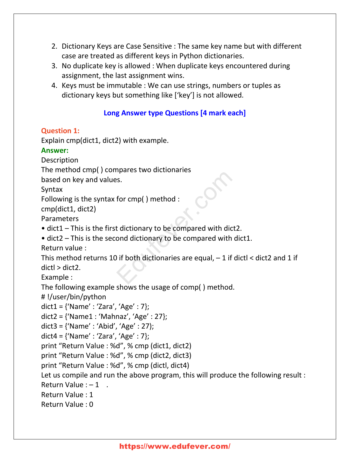- 2. Dictionary Keys are Case Sensitive : The same key name but with different case are treated as different keys in Python dictionaries.
- 3. No duplicate key is allowed : When duplicate keys encountered during assignment, the last assignment wins.
- 4. Keys must be immutable : We can use strings, numbers or tuples as dictionary keys but something like ['key'] is not allowed.

# **Long Answer type Questions [4 mark each]**

# **Question 1:**

Explain cmp(dict1, dict2) with example.

# **Answer:**

Description

The method cmp( ) compares two dictionaries

based on key and values.

Syntax

```
Following is the syntax for cmp( ) method :
```
cmp(dict1, dict2)

Parameters

- dict1 This is the first dictionary to be compared with dict2.
- dict2 This is the second dictionary to be compared with dict1.

Return value :

This method returns 10 if both dictionaries are equal,  $-1$  if dictl  $<$  dict2 and 1 if dictl > dict2. Frances Examples the distribution of the compared with dict2 and dictionary to be compared with distribution of the compared with distribution of the compared with distribution of the compared with distribution of the comp

Example :

The following example shows the usage of comp( ) method.

# !/user/bin/python

```
dict1 = \{ 'Name' : 'Zara', 'Age' : 7 \};
```
dict2 = {'Name1 : 'Mahnaz', 'Age' : 27};

```
dict3 = {'Name' : 'Abid', 'Age' : 27);
```

```
dict4 = \{ 'Name' : 'Zara', 'Age' : 7 \};
```
print "Return Value : %d", % cmp (dict1, dict2)

print "Return Value : %d", % cmp (dict2, dict3)

print "Return Value : %d", % cmp (dictl, dict4)

Let us compile and run the above program, this will produce the following result :

Return Value  $: -1$ .

Return Value : 1

Return Value : 0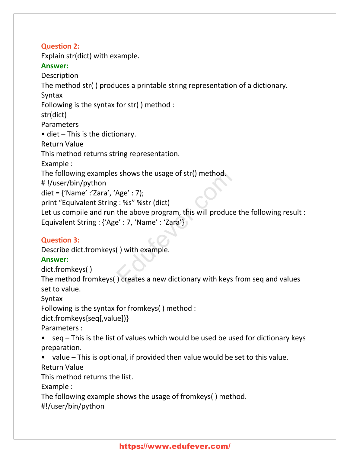**Question 2:** Explain str(dict) with example. **Answer:** Description The method str( ) produces a printable string representation of a dictionary. Syntax Following is the syntax for str( ) method : str(dict) Parameters • diet – This is the dictionary. Return Value This method returns string representation. Example : The following examples shows the usage of str() method. # !/user/bin/python diet = {'Name' :'Zara', 'Age' : 7); print "Equivalent String : %s" %str (dict) Let us compile and run the above program, this will produce the following result : Equivalent String : {'Age' : 7, 'Name' : 'Zara'} s shows the usage of str() method.<br>Age' : 7);<br>; : %s" %str (dict)<br>the above program, this will produce t<br>e' : 7, 'Name' : 'Zara'}<br>( ) with example.<br>) creates a new dictionary with keys fr

# **Question 3:**

Describe dict.fromkeys( ) with example.

# **Answer:**

dict.fromkeys( )

The method fromkeys( ) creates a new dictionary with keys from seq and values set to value.

Syntax

Following is the syntax for fromkeys( ) method :

dict.fromkeys{seq[,value])}

Parameters :

• seq – This is the list of values which would be used be used for dictionary keys preparation.

• value – This is optional, if provided then value would be set to this value.

Return Value

This method returns the list.

Example :

The following example shows the usage of fromkeys( ) method.

#!/user/bin/python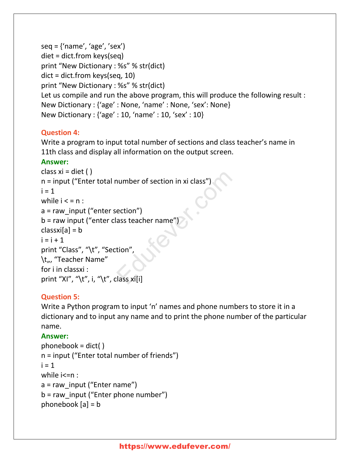```
seq = {'name', 'age', 'sex'}diet = dict.from keys(seq)
print "New Dictionary : %s" % str(dict)
dict = dict.from keys(seq, 10)
print "New Dictionary : %s" % str(dict)
Let us compile and run the above program, this will produce the following result :
New Dictionary : {'age' : None, 'name' : None, 'sex': None}
New Dictionary : {'age' : 10, 'name' : 10, 'sex' : 10}
```
# **Question 4:**

Write a program to input total number of sections and class teacher's name in 11th class and display all information on the output screen.

# **Answer:**

```
class xi = diet ()
n = input ("Enter total number of section in xi class")
i = 1while i < n :
a = raw input ("enter section")
b = raw input ("enter class teacher name")
classxi[a] = bi = i + 1print "Class", "\t", "Section",
\t<sub>"</sub>, "Teacher Name"
for i in classxi :
print "XI", "\t", i, "\t", class xi[i]
                              number of section in xi class")<br>
ection")<br>
ass teacher name")<br>
tion",<br>
lass xi[i]
```
# **Question 5:**

Write a Python program to input 'n' names and phone numbers to store it in a dictionary and to input any name and to print the phone number of the particular name.

# **Answer:**

```
phonebook = dict()n = input ("Enter total number of friends")
i = 1while i<=n :
a = raw input ("Enter name")
b = raw input ("Enter phone number")
phonebook [a] = b
```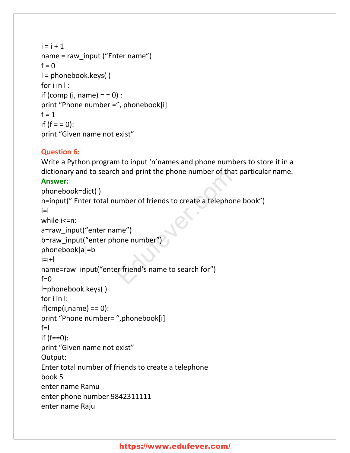```
i = i + 1name = raw_input ("Enter name")
f = 0l = phonebook.keys( )
for i in \mathsf{I} :
if (comp (i, name) = = 0) :
print "Phone number =", phonebook[i]
f = 1if (f = 0):
print "Given name not exist"
```
# **Question 6:**

Write a Python program to input 'n'names and phone numbers to store it in a dictionary and to search and print the phone number of that particular name.

# **Answer:**

```
phonebook=dict( )
n=input(" Enter total number of friends to create a telephone book")
i=l
while i<=n:
a=raw_input("enter name")
b=raw_input("enter phone number")
phonebook[a]=b
i=i+1name=raw_input("enter friend's name to search for")
f=0l=phonebook.keys( )
for i in l:
if(cmp(i,name) == 0):
print "Phone number= ",phonebook[i]
f=if (f==0):
print "Given name not exist"
Output:
Enter total number of friends to create a telephone
book 5
enter name Ramu
enter phone number 9842311111
enter name Raju
                           In and print the phone number of that print the phone number of triends to create a telephone<br>me")<br>one number")<br>er friend's name to search for")
```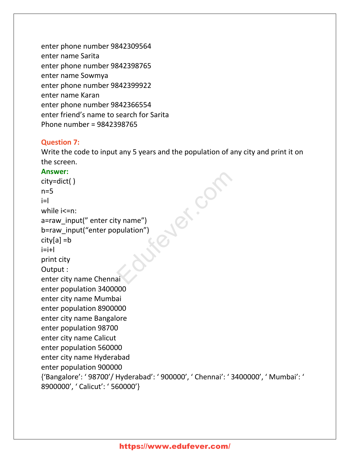enter phone number 9842309564 enter name Sarita enter phone number 9842398765 enter name Sowmya enter phone number 9842399922 enter name Karan enter phone number 9842366554 enter friend's name to search for Sarita Phone number = 9842398765

#### **Question 7:**

Write the code to input any 5 years and the population of any city and print it on the screen.

#### **Answer:**

city=dict( )  $n=5$  $i=$ l while i<=n: a=raw\_input(" enter city name") b=raw\_input("enter population") city[a] =b  $i=i+1$ print city Output : enter city name Chennai enter population 3400000 enter city name Mumbai enter population 8900000 enter city name Bangalore enter population 98700 enter city name Calicut enter population 560000 enter city name Hyderabad enter population 900000 {'Bangalore': ' 98700'/ Hyderabad': ' 900000', ' Chennai': ' 3400000', ' Mumbai': ' 8900000', ' Calicut': ' 560000'} Aver.com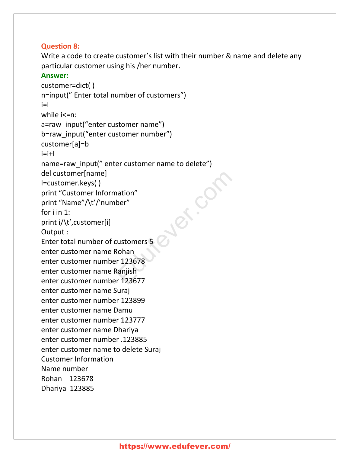#### **Question 8:**

Write a code to create customer's list with their number & name and delete any particular customer using his /her number.

#### **Answer:**

```
customer=dict( )
n=input(" Enter total number of customers")
i=l
while i<=n:
a=raw_input("enter customer name")
b=raw_input("enter customer number")
customer[a]=b
i=i+1name=raw_input(" enter customer name to delete")
del customer[name]
l=customer.keys( )
print "Customer Information"
print "Name"/\t'/'number"
for i in 1:
print i/\t',customer[i]
Output :
Enter total number of customers 5
enter customer name Rohan
enter customer number 123678
enter customer name Ranjish
enter customer number 123677
enter customer name Suraj
enter customer number 123899
enter customer name Damu
enter customer number 123777
enter customer name Dhariya
enter customer number .123885
enter customer name to delete Suraj
Customer Information
Name number
Rohan 123678
Dhariya 123885
                                     Ed.com
```